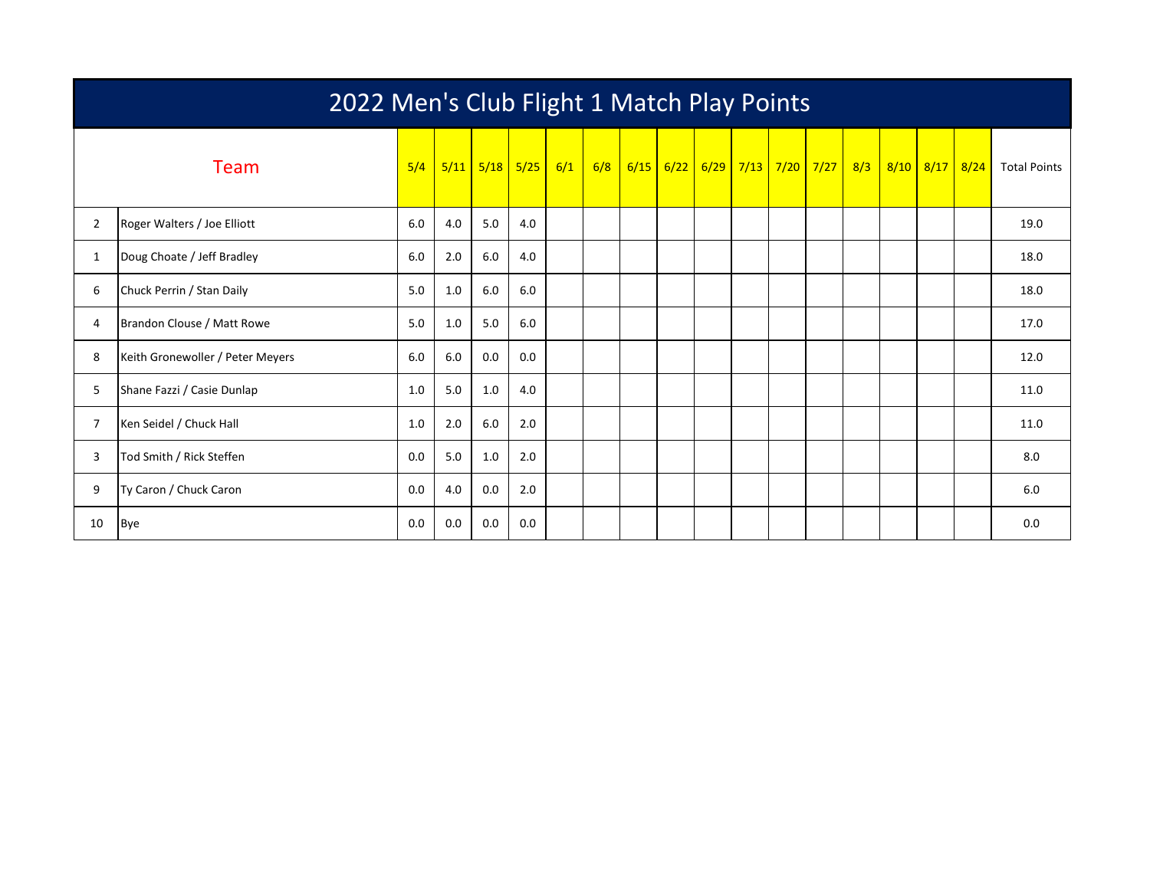|                | 2022 Men's Club Flight 1 Match Play Points |     |     |             |      |     |     |  |             |  |  |                                      |  |  |                |                     |
|----------------|--------------------------------------------|-----|-----|-------------|------|-----|-----|--|-------------|--|--|--------------------------------------|--|--|----------------|---------------------|
|                | Team                                       | 5/4 |     | $5/11$ 5/18 | 5/25 | 6/1 | 6/8 |  | $6/15$ 6/22 |  |  | <mark>6/29 7/13 7/20 7/27 8/3</mark> |  |  | 8/10 8/17 8/24 | <b>Total Points</b> |
| $\overline{2}$ | Roger Walters / Joe Elliott                | 6.0 | 4.0 | 5.0         | 4.0  |     |     |  |             |  |  |                                      |  |  |                | 19.0                |
| 1              | Doug Choate / Jeff Bradley                 | 6.0 | 2.0 | 6.0         | 4.0  |     |     |  |             |  |  |                                      |  |  |                | 18.0                |
| 6              | Chuck Perrin / Stan Daily                  | 5.0 | 1.0 | 6.0         | 6.0  |     |     |  |             |  |  |                                      |  |  |                | 18.0                |
| 4              | Brandon Clouse / Matt Rowe                 | 5.0 | 1.0 | 5.0         | 6.0  |     |     |  |             |  |  |                                      |  |  |                | 17.0                |
| 8              | Keith Gronewoller / Peter Meyers           | 6.0 | 6.0 | 0.0         | 0.0  |     |     |  |             |  |  |                                      |  |  |                | 12.0                |
| 5              | Shane Fazzi / Casie Dunlap                 | 1.0 | 5.0 | 1.0         | 4.0  |     |     |  |             |  |  |                                      |  |  |                | 11.0                |
| $\overline{7}$ | Ken Seidel / Chuck Hall                    | 1.0 | 2.0 | 6.0         | 2.0  |     |     |  |             |  |  |                                      |  |  |                | 11.0                |
| 3              | Tod Smith / Rick Steffen                   | 0.0 | 5.0 | 1.0         | 2.0  |     |     |  |             |  |  |                                      |  |  |                | 8.0                 |
| 9              | Ty Caron / Chuck Caron                     | 0.0 | 4.0 | 0.0         | 2.0  |     |     |  |             |  |  |                                      |  |  |                | 6.0                 |
| 10             | <b>Bye</b>                                 | 0.0 | 0.0 | 0.0         | 0.0  |     |     |  |             |  |  |                                      |  |  |                | 0.0                 |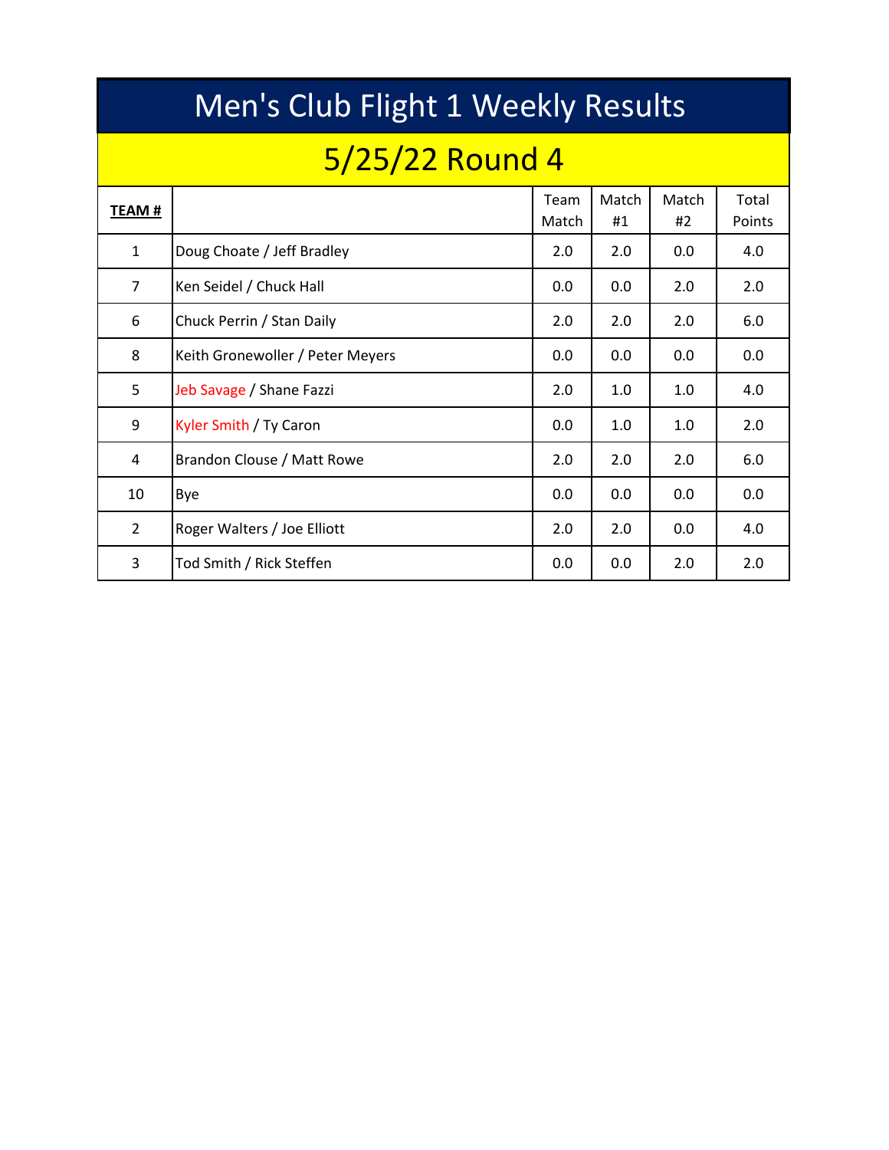|                | Men's Club Flight 1 Weekly Results |               |             |             |                 |  |  |  |  |  |  |  |  |  |
|----------------|------------------------------------|---------------|-------------|-------------|-----------------|--|--|--|--|--|--|--|--|--|
|                | 5/25/22 Round 4                    |               |             |             |                 |  |  |  |  |  |  |  |  |  |
| TEAM #         |                                    | Team<br>Match | Match<br>#1 | Match<br>#2 | Total<br>Points |  |  |  |  |  |  |  |  |  |
| $\mathbf{1}$   | Doug Choate / Jeff Bradley         | 2.0           | 2.0         | 0.0         | 4.0             |  |  |  |  |  |  |  |  |  |
| $\overline{7}$ | Ken Seidel / Chuck Hall            | 0.0           | 0.0         | 2.0         | 2.0             |  |  |  |  |  |  |  |  |  |
| 6              | Chuck Perrin / Stan Daily          | 2.0           | 2.0         | 2.0         | 6.0             |  |  |  |  |  |  |  |  |  |
| 8              | Keith Gronewoller / Peter Meyers   | 0.0           | 0.0         | 0.0         | 0.0             |  |  |  |  |  |  |  |  |  |
| 5              | Jeb Savage / Shane Fazzi           | 2.0           | 1.0         | 1.0         | 4.0             |  |  |  |  |  |  |  |  |  |
| 9              | Kyler Smith / Ty Caron             | 0.0           | 1.0         | 1.0         | 2.0             |  |  |  |  |  |  |  |  |  |
| 4              | Brandon Clouse / Matt Rowe         | 2.0           | 2.0         | 2.0         | 6.0             |  |  |  |  |  |  |  |  |  |
| 10             | Bye                                | 0.0           | 0.0         | 0.0         | 0.0             |  |  |  |  |  |  |  |  |  |
| $\overline{2}$ | Roger Walters / Joe Elliott        | 2.0           | 2.0         | 0.0         | 4.0             |  |  |  |  |  |  |  |  |  |
| 3              | Tod Smith / Rick Steffen           | 0.0           | 0.0         | 2.0         | 2.0             |  |  |  |  |  |  |  |  |  |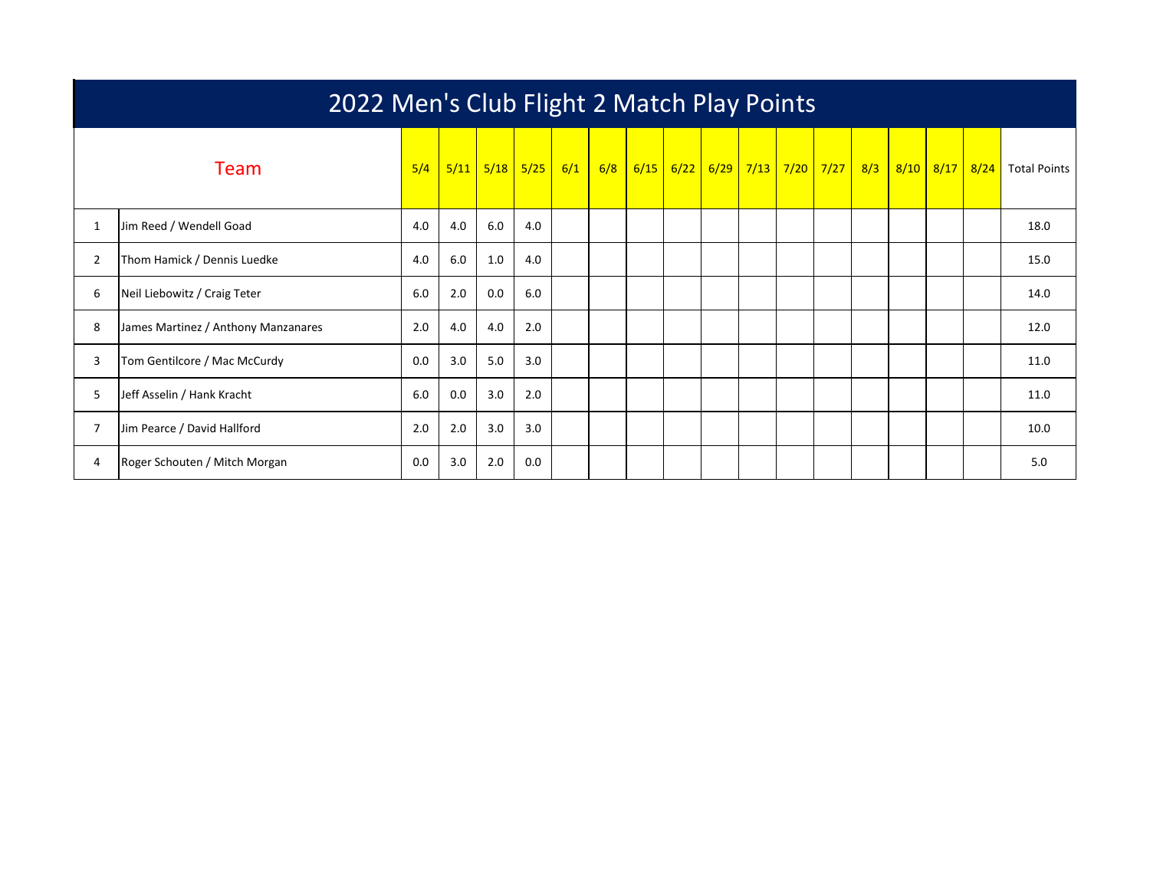|                | 2022 Men's Club Flight 2 Match Play Points |     |      |     |                          |     |     |  |             |  |  |                                    |  |     |  |                |                     |
|----------------|--------------------------------------------|-----|------|-----|--------------------------|-----|-----|--|-------------|--|--|------------------------------------|--|-----|--|----------------|---------------------|
|                | Team                                       | 5/4 | 5/11 |     | <mark>5/18 5/25  </mark> | 6/1 | 6/8 |  | $6/15$ 6/22 |  |  | <mark>6/29 7/13 7/20 7/27  </mark> |  | 8/3 |  | 8/10 8/17 8/24 | <b>Total Points</b> |
| $\mathbf{1}$   | Jim Reed / Wendell Goad                    | 4.0 | 4.0  | 6.0 | 4.0                      |     |     |  |             |  |  |                                    |  |     |  |                | 18.0                |
| $\overline{2}$ | Thom Hamick / Dennis Luedke                | 4.0 | 6.0  | 1.0 | 4.0                      |     |     |  |             |  |  |                                    |  |     |  |                | 15.0                |
| 6              | Neil Liebowitz / Craig Teter               | 6.0 | 2.0  | 0.0 | 6.0                      |     |     |  |             |  |  |                                    |  |     |  |                | 14.0                |
| 8              | James Martinez / Anthony Manzanares        | 2.0 | 4.0  | 4.0 | 2.0                      |     |     |  |             |  |  |                                    |  |     |  |                | 12.0                |
| 3              | Tom Gentilcore / Mac McCurdy               | 0.0 | 3.0  | 5.0 | 3.0                      |     |     |  |             |  |  |                                    |  |     |  |                | 11.0                |
| 5              | Jeff Asselin / Hank Kracht                 | 6.0 | 0.0  | 3.0 | 2.0                      |     |     |  |             |  |  |                                    |  |     |  |                | 11.0                |
|                | Jim Pearce / David Hallford                | 2.0 | 2.0  | 3.0 | 3.0                      |     |     |  |             |  |  |                                    |  |     |  |                | 10.0                |
| 4              | Roger Schouten / Mitch Morgan              | 0.0 | 3.0  | 2.0 | 0.0                      |     |     |  |             |  |  |                                    |  |     |  |                | 5.0                 |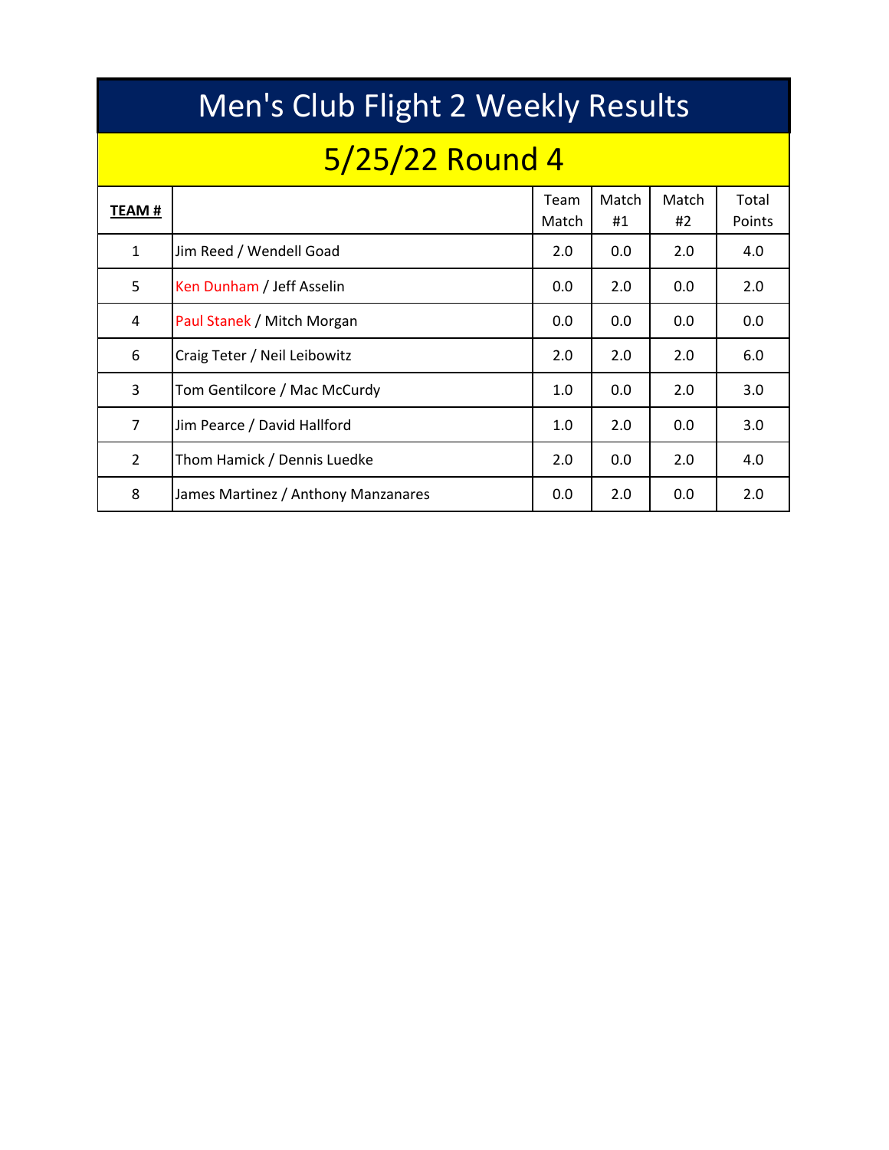|                | Men's Club Flight 2 Weekly Results  |               |             |             |                 |  |  |  |  |  |  |  |  |  |  |
|----------------|-------------------------------------|---------------|-------------|-------------|-----------------|--|--|--|--|--|--|--|--|--|--|
|                | 5/25/22 Round 4                     |               |             |             |                 |  |  |  |  |  |  |  |  |  |  |
| TEAM #         |                                     | Team<br>Match | Match<br>#1 | Match<br>#2 | Total<br>Points |  |  |  |  |  |  |  |  |  |  |
| $\mathbf{1}$   | Jim Reed / Wendell Goad             | 2.0           | 0.0         | 2.0         | 4.0             |  |  |  |  |  |  |  |  |  |  |
| 5              | Ken Dunham / Jeff Asselin           | 0.0           | 2.0         | 0.0         | 2.0             |  |  |  |  |  |  |  |  |  |  |
| 4              | Paul Stanek / Mitch Morgan          | 0.0           | 0.0         | 0.0         | 0.0             |  |  |  |  |  |  |  |  |  |  |
| 6              | Craig Teter / Neil Leibowitz        | 2.0           | 2.0         | 2.0         | 6.0             |  |  |  |  |  |  |  |  |  |  |
| 3              | Tom Gentilcore / Mac McCurdy        | 1.0           | 0.0         | 2.0         | 3.0             |  |  |  |  |  |  |  |  |  |  |
| $\overline{7}$ | Jim Pearce / David Hallford         | 1.0           | 2.0         | 0.0         | 3.0             |  |  |  |  |  |  |  |  |  |  |
| $\overline{2}$ | Thom Hamick / Dennis Luedke         | 2.0           | 0.0         | 2.0         | 4.0             |  |  |  |  |  |  |  |  |  |  |
| 8              | James Martinez / Anthony Manzanares | 0.0           | 2.0         | 0.0         | 2.0             |  |  |  |  |  |  |  |  |  |  |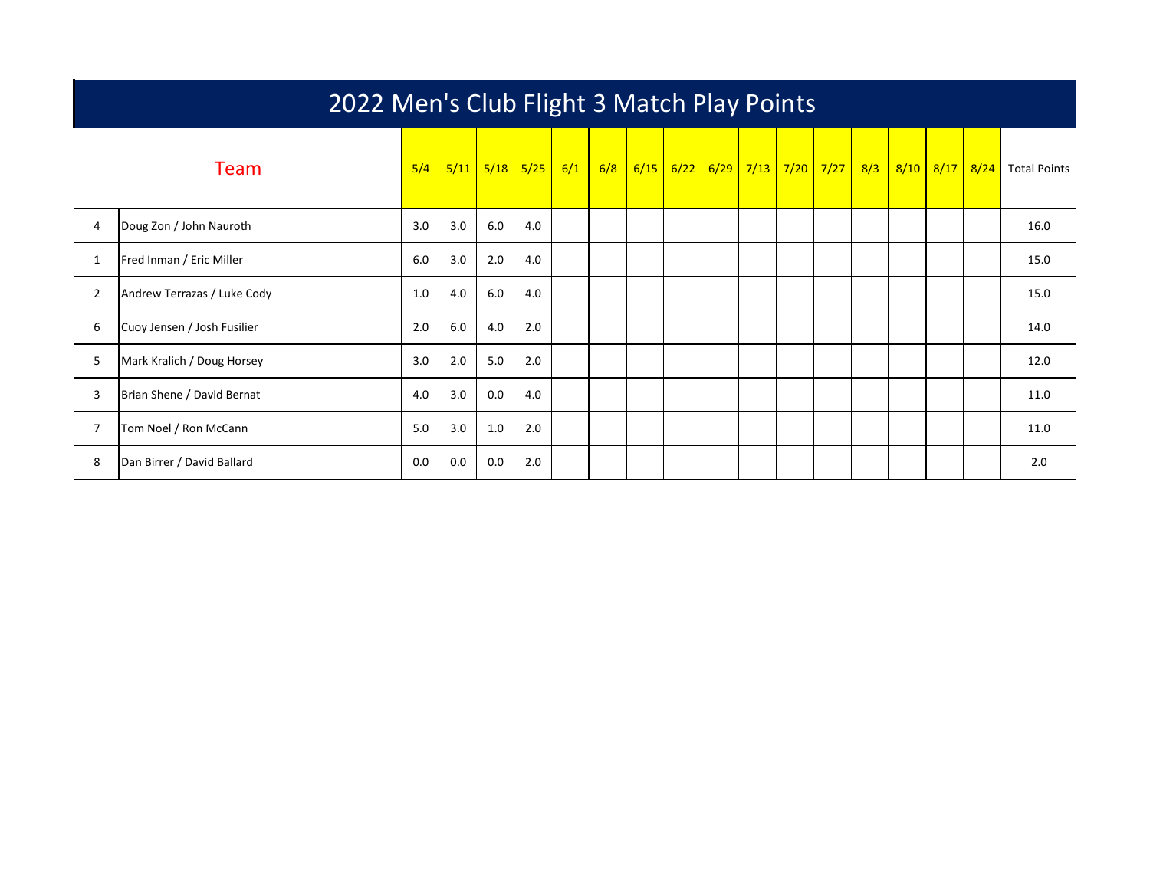|                | 2022 Men's Club Flight 3 Match Play Points |     |      |     |                          |     |     |  |  |                               |  |  |  |     |  |                |                     |
|----------------|--------------------------------------------|-----|------|-----|--------------------------|-----|-----|--|--|-------------------------------|--|--|--|-----|--|----------------|---------------------|
|                | Team                                       | 5/4 | 5/11 |     | <mark>5/18 5/25  </mark> | 6/1 | 6/8 |  |  | 6/15 6/22 6/29 7/13 7/20 7/27 |  |  |  | 8/3 |  | 8/10 8/17 8/24 | <b>Total Points</b> |
| 4              | Doug Zon / John Nauroth                    | 3.0 | 3.0  | 6.0 | 4.0                      |     |     |  |  |                               |  |  |  |     |  |                | 16.0                |
| 1              | Fred Inman / Eric Miller                   | 6.0 | 3.0  | 2.0 | 4.0                      |     |     |  |  |                               |  |  |  |     |  |                | 15.0                |
| 2              | Andrew Terrazas / Luke Cody                | 1.0 | 4.0  | 6.0 | 4.0                      |     |     |  |  |                               |  |  |  |     |  |                | 15.0                |
| 6              | Cuoy Jensen / Josh Fusilier                | 2.0 | 6.0  | 4.0 | 2.0                      |     |     |  |  |                               |  |  |  |     |  |                | 14.0                |
| 5              | Mark Kralich / Doug Horsey                 | 3.0 | 2.0  | 5.0 | 2.0                      |     |     |  |  |                               |  |  |  |     |  |                | 12.0                |
| 3              | Brian Shene / David Bernat                 | 4.0 | 3.0  | 0.0 | 4.0                      |     |     |  |  |                               |  |  |  |     |  |                | 11.0                |
| $\overline{7}$ | Tom Noel / Ron McCann                      | 5.0 | 3.0  | 1.0 | 2.0                      |     |     |  |  |                               |  |  |  |     |  |                | 11.0                |
| 8              | Dan Birrer / David Ballard                 | 0.0 | 0.0  | 0.0 | 2.0                      |     |     |  |  |                               |  |  |  |     |  |                | 2.0                 |